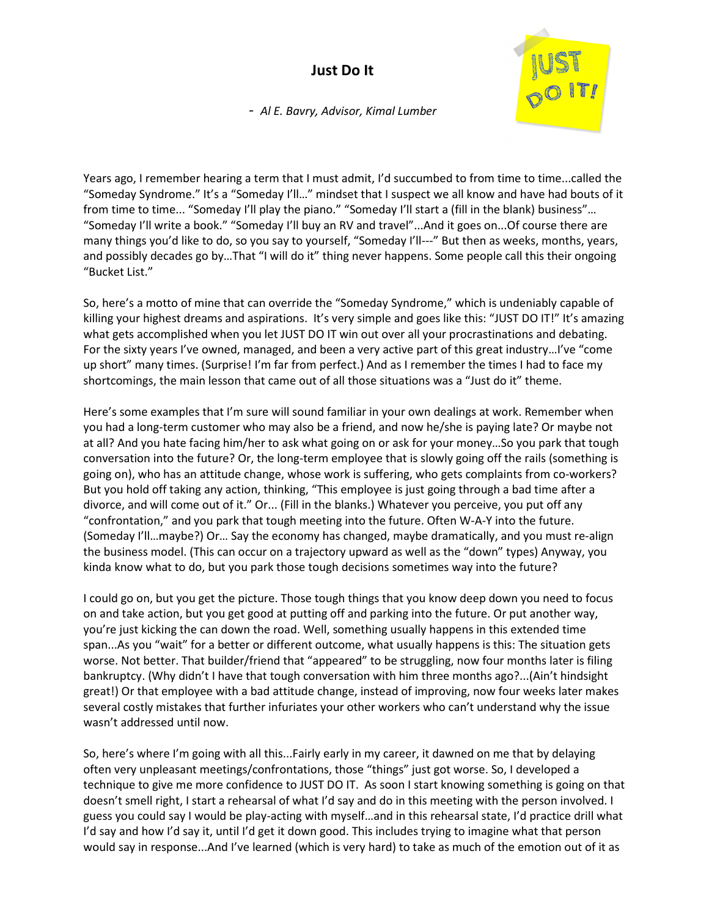## **Just Do It**



 *- Al E. Bavry, Advisor, Kimal Lumber* 

Years ago, I remember hearing a term that I must admit, I'd succumbed to from time to time...called the "Someday Syndrome." It's a "Someday I'll…" mindset that I suspect we all know and have had bouts of it from time to time... "Someday I'll play the piano." "Someday I'll start a (fill in the blank) business"… "Someday I'll write a book." "Someday I'll buy an RV and travel"...And it goes on...Of course there are many things you'd like to do, so you say to yourself, "Someday I'll---" But then as weeks, months, years, and possibly decades go by…That "I will do it" thing never happens. Some people call this their ongoing "Bucket List."

So, here's a motto of mine that can override the "Someday Syndrome," which is undeniably capable of killing your highest dreams and aspirations. It's very simple and goes like this: "JUST DO IT!" It's amazing what gets accomplished when you let JUST DO IT win out over all your procrastinations and debating. For the sixty years I've owned, managed, and been a very active part of this great industry…I've "come up short" many times. (Surprise! I'm far from perfect.) And as I remember the times I had to face my shortcomings, the main lesson that came out of all those situations was a "Just do it" theme.

Here's some examples that I'm sure will sound familiar in your own dealings at work. Remember when you had a long-term customer who may also be a friend, and now he/she is paying late? Or maybe not at all? And you hate facing him/her to ask what going on or ask for your money…So you park that tough conversation into the future? Or, the long-term employee that is slowly going off the rails (something is going on), who has an attitude change, whose work is suffering, who gets complaints from co-workers? But you hold off taking any action, thinking, "This employee is just going through a bad time after a divorce, and will come out of it." Or... (Fill in the blanks.) Whatever you perceive, you put off any "confrontation," and you park that tough meeting into the future. Often W-A-Y into the future. (Someday I'll…maybe?) Or… Say the economy has changed, maybe dramatically, and you must re-align the business model. (This can occur on a trajectory upward as well as the "down" types) Anyway, you kinda know what to do, but you park those tough decisions sometimes way into the future?

I could go on, but you get the picture. Those tough things that you know deep down you need to focus on and take action, but you get good at putting off and parking into the future. Or put another way, you're just kicking the can down the road. Well, something usually happens in this extended time span...As you "wait" for a better or different outcome, what usually happens is this: The situation gets worse. Not better. That builder/friend that "appeared" to be struggling, now four months later is filing bankruptcy. (Why didn't I have that tough conversation with him three months ago?...(Ain't hindsight great!) Or that employee with a bad attitude change, instead of improving, now four weeks later makes several costly mistakes that further infuriates your other workers who can't understand why the issue wasn't addressed until now.

So, here's where I'm going with all this...Fairly early in my career, it dawned on me that by delaying often very unpleasant meetings/confrontations, those "things" just got worse. So, I developed a technique to give me more confidence to JUST DO IT. As soon I start knowing something is going on that doesn't smell right, I start a rehearsal of what I'd say and do in this meeting with the person involved. I guess you could say I would be play-acting with myself…and in this rehearsal state, I'd practice drill what I'd say and how I'd say it, until I'd get it down good. This includes trying to imagine what that person would say in response...And I've learned (which is very hard) to take as much of the emotion out of it as